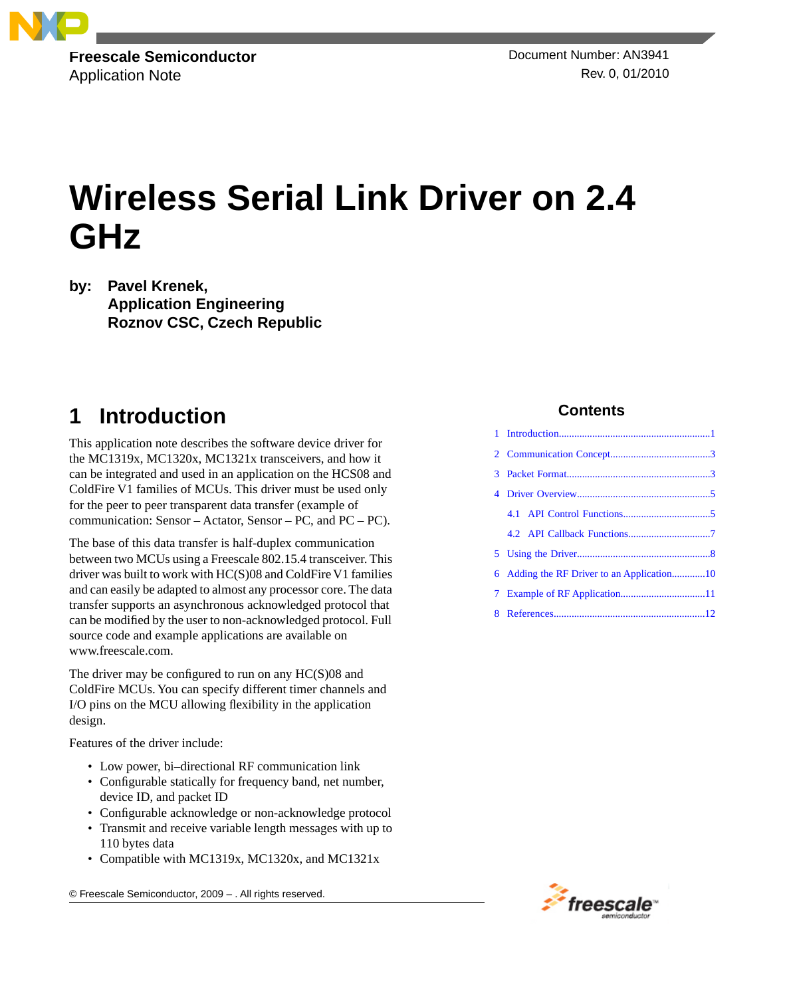

Application Note Rev. 0, 01/2010

# **Wireless Serial Link Driver on 2.4 GHz**

**by: Pavel Krenek, Application Engineering Roznov CSC, Czech Republic**

# <span id="page-0-0"></span>**1 Introduction**

This application note describes the software device driver for the MC1319x, MC1320x, MC1321x transceivers, and how it can be integrated and used in an application on the HCS08 and ColdFire V1 families of MCUs. This driver must be used only for the peer to peer transparent data transfer (example of communication: Sensor – Actator, Sensor – PC, and PC – PC).

The base of this data transfer is half-duplex communication between two MCUs using a Freescale 802.15.4 transceiver. This driver was built to work with HC(S)08 and ColdFire V1 families and can easily be adapted to almost any processor core. The data transfer supports an asynchronous acknowledged protocol that can be modified by the user to non-acknowledged protocol. Full source code and example applications are available on www.freescale.com.

The driver may be configured to run on any  $HC(S)08$  and ColdFire MCUs. You can specify different timer channels and I/O pins on the MCU allowing flexibility in the application design.

Features of the driver include:

- Low power, bi-directional RF communication link
- Configurable statically for frequency band, net number, device ID, and packet ID
- Configurable acknowledge or non-acknowledge protocol
- Transmit and receive variable length messages with up to 110 bytes data
- Compatible with MC1319x, MC1320x, and MC1321x

© Freescale Semiconductor, 2009 – . All rights reserved.

#### **Contents**

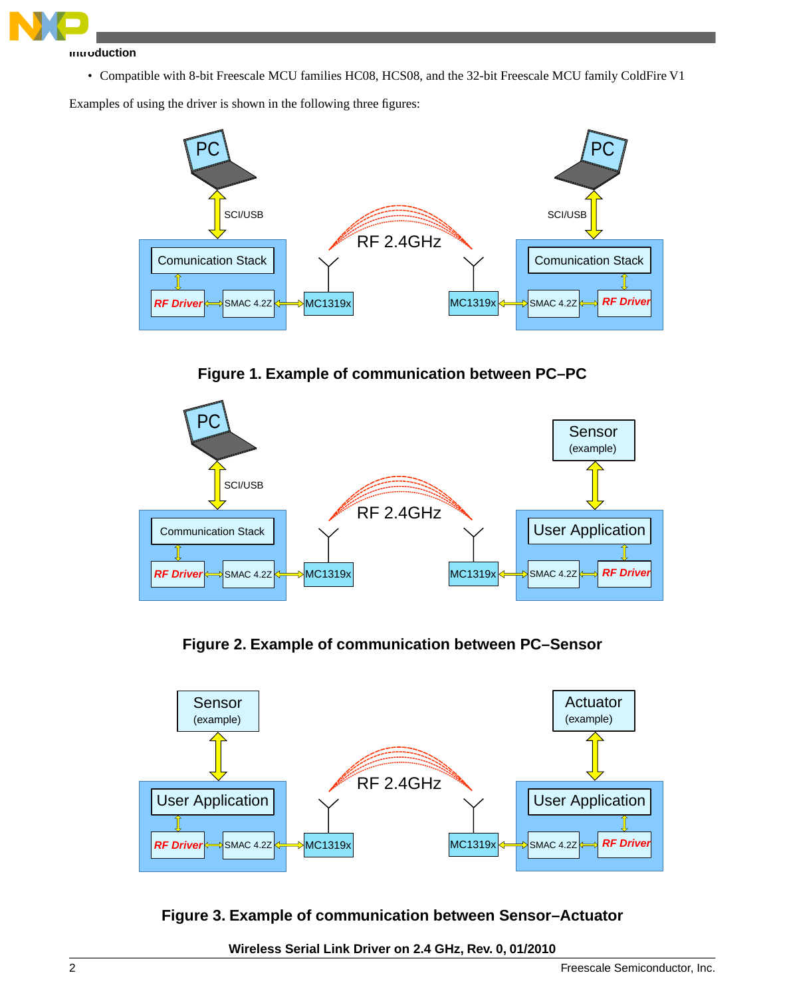

#### **Introduction**

• Compatible with 8-bit Freescale MCU families HC08, HCS08, and the 32-bit Freescale MCU family ColdFire V1

Examples of using the driver is shown in the following three figures:



**Figure 1. Example of communication between PC–PC**



**Figure 2. Example of communication between PC–Sensor**



**Figure 3. Example of communication between Sensor–Actuator**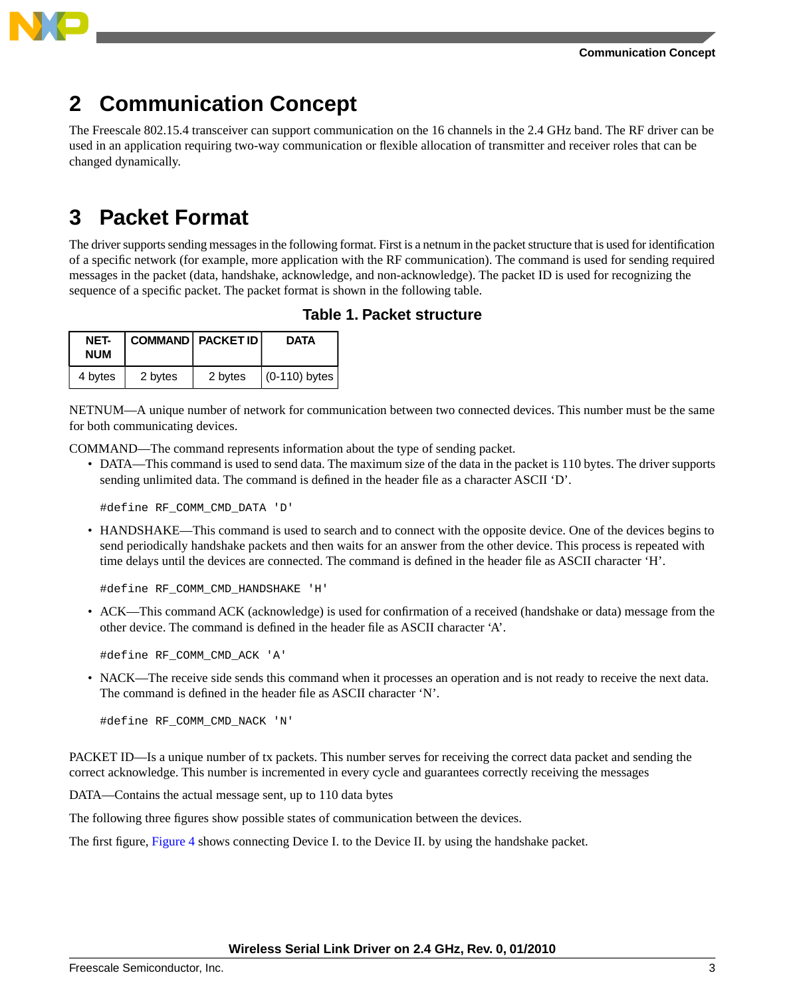



# <span id="page-2-0"></span>**2 Communication Concept**

The Freescale 802.15.4 transceiver can support communication on the 16 channels in the 2.4 GHz band. The RF driver can be used in an application requiring two-way communication or flexible allocation of transmitter and receiver roles that can be changed dynamically.

# <span id="page-2-1"></span>**3 Packet Format**

The driver supports sending messages in the following format. First is a netnum in the packet structure that is used for identification of a specific network (for example, more application with the RF communication). The command is used for sending required messages in the packet (data, handshake, acknowledge, and non-acknowledge). The packet ID is used for recognizing the sequence of a specific packet. The packet format is shown in the following table.

| NET-<br><b>NUM</b> |         | COMMAND   PACKET ID | <b>DATA</b>     |
|--------------------|---------|---------------------|-----------------|
| 4 bytes            | 2 bytes | 2 bytes             | $(0-110)$ bytes |

#### **Table 1. Packet structure**

NETNUM—A unique number of network for communication between two connected devices. This number must be the same for both communicating devices.

COMMAND—The command represents information about the type of sending packet.

• DATA—This command is used to send data. The maximum size of the data in the packet is 110 bytes. The driver supports sending unlimited data. The command is defined in the header file as a character ASCII 'D'.

#define RF\_COMM\_CMD\_DATA 'D'

• HANDSHAKE—This command is used to search and to connect with the opposite device. One of the devices begins to send periodically handshake packets and then waits for an answer from the other device. This process is repeated with time delays until the devices are connected. The command is defined in the header file as ASCII character 'H'.

#define RF\_COMM\_CMD\_HANDSHAKE 'H'

• ACK—This command ACK (acknowledge) is used for confirmation of a received (handshake or data) message from the other device. The command is defined in the header file as ASCII character 'A'.

#define RF\_COMM\_CMD\_ACK 'A'

• NACK—The receive side sends this command when it processes an operation and is not ready to receive the next data. The command is defined in the header file as ASCII character 'N'.

#define RF\_COMM\_CMD\_NACK 'N'

PACKET ID—Is a unique number of tx packets. This number serves for receiving the correct data packet and sending the correct acknowledge. This number is incremented in every cycle and guarantees correctly receiving the messages

DATA—Contains the actual message sent, up to 110 data bytes

The following three figures show possible states of communication between the devices.

The first figure, [Figure 4](#page-3-0) shows connecting Device I. to the Device II. by using the handshake packet.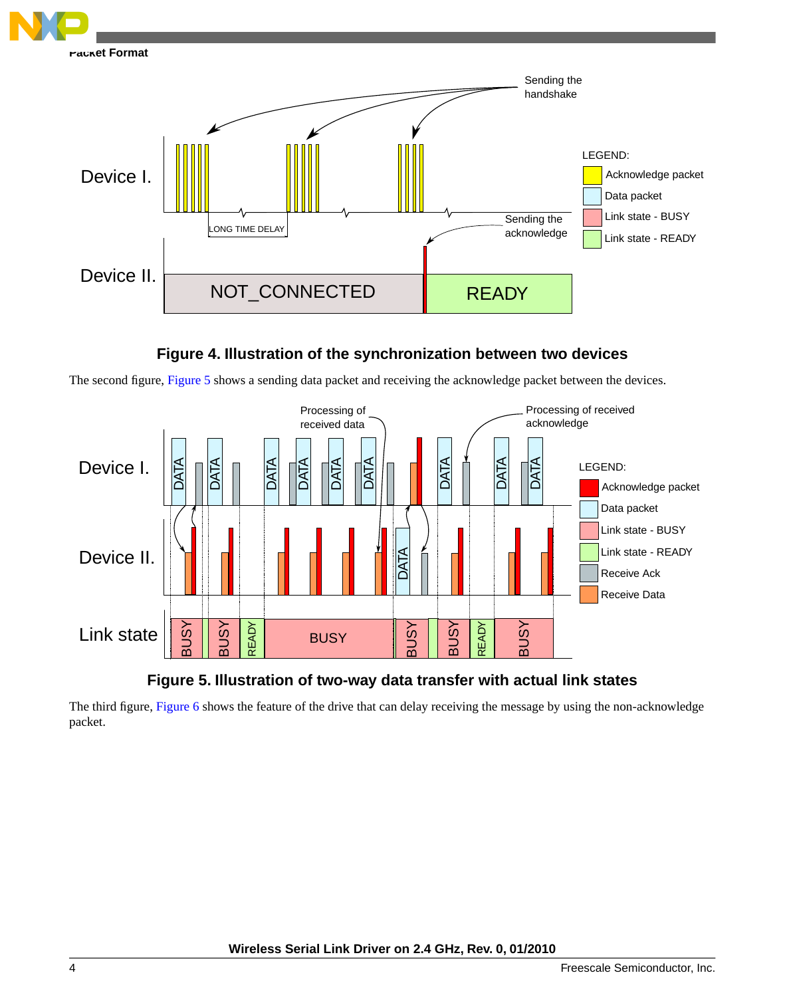<span id="page-3-0"></span>

#### **Figure 4. Illustration of the synchronization between two devices**

<span id="page-3-1"></span>The second figure, [Figure 5](#page-3-1) shows a sending data packet and receiving the acknowledge packet between the devices.



### **Figure 5. Illustration of two-way data transfer with actual link states**

The third figure, [Figure 6](#page-4-2) shows the feature of the drive that can delay receiving the message by using the non-acknowledge packet.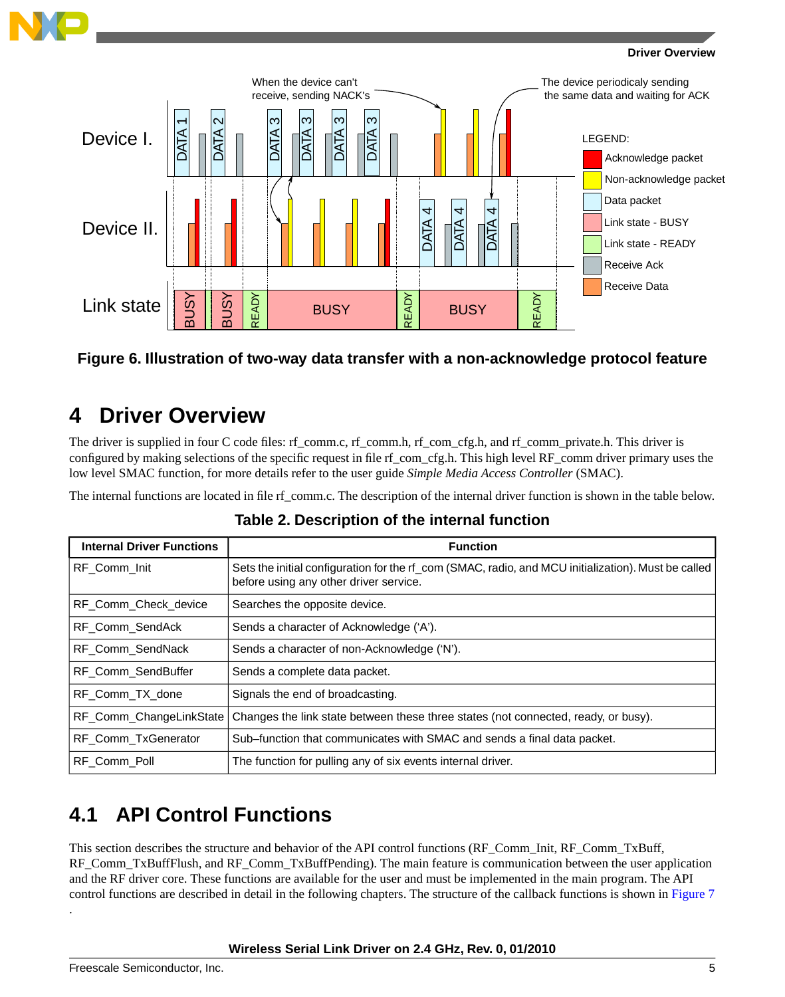

#### **Driver Overview**

<span id="page-4-2"></span>

#### <span id="page-4-0"></span>**Figure 6. Illustration of two-way data transfer with a non-acknowledge protocol feature**

### **4 Driver Overview**

The driver is supplied in four C code files: rf\_comm.c, rf\_comm.h, rf\_com\_cfg.h, and rf\_comm\_private.h. This driver is configured by making selections of the specific request in file rf\_com\_cfg.h. This high level RF\_comm driver primary uses the low level SMAC function, for more details refer to the user guide *Simple Media Access Controller* (SMAC).

The internal functions are located in file rf comm.c. The description of the internal driver function is shown in the table below.

| <b>Internal Driver Functions</b> | <b>Function</b>                                                                                                                               |
|----------------------------------|-----------------------------------------------------------------------------------------------------------------------------------------------|
| RF Comm Init                     | Sets the initial configuration for the rf_com (SMAC, radio, and MCU initialization). Must be called<br>before using any other driver service. |
| RF Comm Check device             | Searches the opposite device.                                                                                                                 |
| RF Comm SendAck                  | Sends a character of Acknowledge ('A').                                                                                                       |
| RF Comm SendNack                 | Sends a character of non-Acknowledge ('N').                                                                                                   |
| RF Comm SendBuffer               | Sends a complete data packet.                                                                                                                 |
| RF Comm TX done                  | Signals the end of broadcasting.                                                                                                              |
| RF_Comm_ChangeLinkState          | Changes the link state between these three states (not connected, ready, or busy).                                                            |
| RF Comm TxGenerator              | Sub–function that communicates with SMAC and sends a final data packet.                                                                       |
| RF Comm Poll                     | The function for pulling any of six events internal driver.                                                                                   |

#### **Table 2. Description of the internal function**

### <span id="page-4-1"></span>**4.1 API Control Functions**

This section describes the structure and behavior of the API control functions (RF\_Comm\_Init, RF\_Comm\_TxBuff, RF\_Comm\_TxBuffFlush, and RF\_Comm\_TxBuffPending). The main feature is communication between the user application and the RF driver core. These functions are available for the user and must be implemented in the main program. The API control functions are described in detail in the following chapters. The structure of the callback functions is shown in [Figure 7](#page-5-0)

#### **Wireless Serial Link Driver on 2.4 GHz, Rev. 0, 01/2010**

.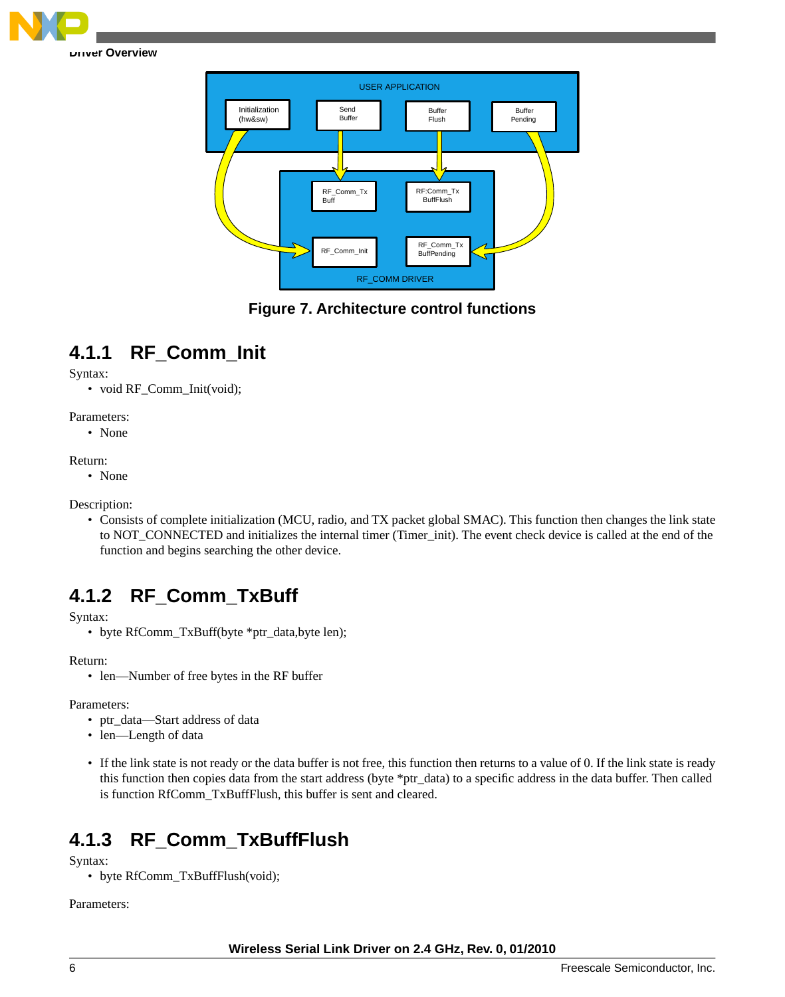<span id="page-5-0"></span>

RF\_COMM DRIVER USER APPLICATION Initialization (hw&sw) Send Buffer **Buffer** Flush Buffer Pending RF\_Comm\_Tx Buff RF:Comm\_Tx **BuffFlush** RF\_Comm\_Init RF\_Comm\_Tx **BuffPending** 

### **Figure 7. Architecture control functions**

# **4.1.1 RF\_Comm\_Init**

Syntax:

• void RF\_Comm\_Init(void);

Parameters:

• None

Return:

• None

Description:

• Consists of complete initialization (MCU, radio, and TX packet global SMAC). This function then changes the link state to NOT\_CONNECTED and initializes the internal timer (Timer\_init). The event check device is called at the end of the function and begins searching the other device.

### **4.1.2 RF\_Comm\_TxBuff**

Syntax:

• byte RfComm\_TxBuff(byte \*ptr\_data,byte len);

Return:

• len—Number of free bytes in the RF buffer

Parameters:

- ptr\_data—Start address of data
- len—Length of data
- If the link state is not ready or the data buffer is not free, this function then returns to a value of 0. If the link state is ready this function then copies data from the start address (byte \*ptr\_data) to a specific address in the data buffer. Then called is function RfComm\_TxBuffFlush, this buffer is sent and cleared.

### **4.1.3 RF\_Comm\_TxBuffFlush**

Syntax:

• byte RfComm\_TxBuffFlush(void);

Parameters: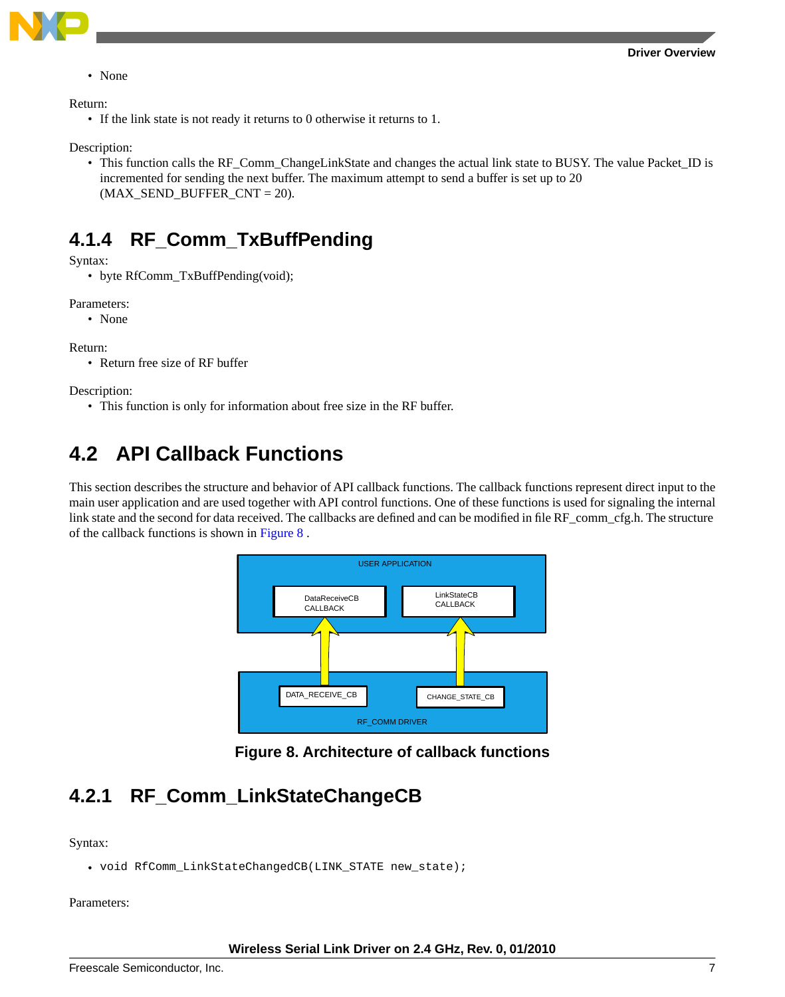

• None

Return:

• If the link state is not ready it returns to 0 otherwise it returns to 1.

Description:

• This function calls the RF\_Comm\_ChangeLinkState and changes the actual link state to BUSY. The value Packet\_ID is incremented for sending the next buffer. The maximum attempt to send a buffer is set up to 20 (MAX\_SEND\_BUFFER\_CNT = 20).

### **4.1.4 RF\_Comm\_TxBuffPending**

Syntax:

• byte RfComm TxBuffPending(void);

Parameters:

• None

Return:

• Return free size of RF buffer

<span id="page-6-0"></span>Description:

• This function is only for information about free size in the RF buffer.

# **4.2 API Callback Functions**

<span id="page-6-1"></span>This section describes the structure and behavior of API callback functions. The callback functions represent direct input to the main user application and are used together with API control functions. One of these functions is used for signaling the internal link state and the second for data received. The callbacks are defined and can be modified in file RF\_comm\_cfg.h. The structure of the callback functions is shown in [Figure 8](#page-6-1) .



**Figure 8. Architecture of callback functions**

### **4.2.1 RF\_Comm\_LinkStateChangeCB**

Syntax:

• void RfComm\_LinkStateChangedCB(LINK\_STATE new\_state);

Parameters: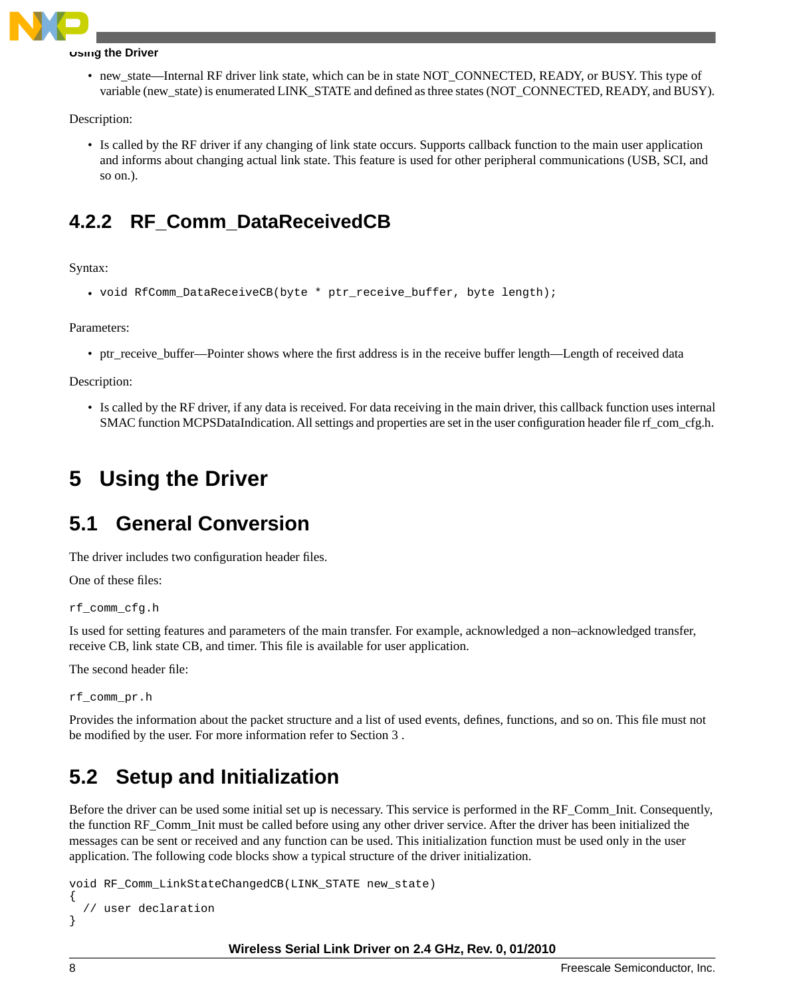

#### **Using the Driver**

• new state—Internal RF driver link state, which can be in state NOT\_CONNECTED, READY, or BUSY. This type of variable (new\_state) is enumerated LINK\_STATE and defined as three states (NOT\_CONNECTED, READY, and BUSY).

Description:

• Is called by the RF driver if any changing of link state occurs. Supports callback function to the main user application and informs about changing actual link state. This feature is used for other peripheral communications (USB, SCI, and so on.).

### **4.2.2 RF\_Comm\_DataReceivedCB**

Syntax:

```
• void RfComm_DataReceiveCB(byte * ptr_receive_buffer, byte length);
```
Parameters:

• ptr\_receive\_buffer—Pointer shows where the first address is in the receive buffer length—Length of received data

Description:

<span id="page-7-0"></span>• Is called by the RF driver, if any data is received. For data receiving in the main driver, this callback function uses internal SMAC function MCPSDataIndication. All settings and properties are set in the user configuration header file rf com cfg.h.

# **5 Using the Driver**

### **5.1 General Conversion**

The driver includes two configuration header files.

One of these files:

rf\_comm\_cfg.h

Is used for setting features and parameters of the main transfer. For example, acknowledged a non–acknowledged transfer, receive CB, link state CB, and timer. This file is available for user application.

The second header file:

rf\_comm\_pr.h

Provides the information about the packet structure and a list of used events, defines, functions, and so on. This file must not be modified by the user. For more information refer to Section 3 .

### **5.2 Setup and Initialization**

Before the driver can be used some initial set up is necessary. This service is performed in the RF\_Comm\_Init. Consequently, the function RF\_Comm\_Init must be called before using any other driver service. After the driver has been initialized the messages can be sent or received and any function can be used. This initialization function must be used only in the user application. The following code blocks show a typical structure of the driver initialization.

```
void RF_Comm_LinkStateChangedCB(LINK_STATE new_state)
{
```

```
 // user declaration
}
```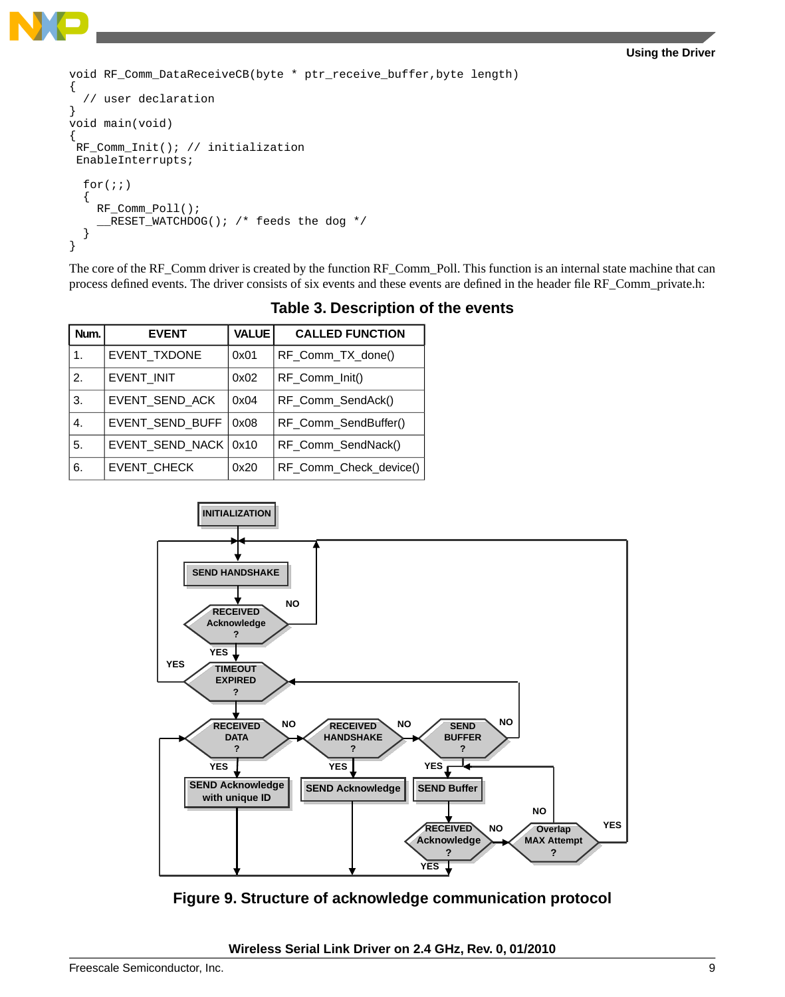```
void RF_Comm_DataReceiveCB(byte * ptr_receive_buffer,byte length)
{
   // user declaration
}
void main(void) 
{ 
  RF_Comm_Init(); // initialization 
 EnableInterrupts;
  for(i;) {
     RF_Comm_Poll();
      __RESET_WATCHDOG(); /* feeds the dog */
 } 
}
```
The core of the RF\_Comm driver is created by the function RF\_Comm\_Poll. This function is an internal state machine that can process defined events. The driver consists of six events and these events are defined in the header file RF\_Comm\_private.h:

| Num. | <b>EVENT</b>           | <b>VALUE</b> | <b>CALLED FUNCTION</b> |
|------|------------------------|--------------|------------------------|
| 1.   | EVENT_TXDONE           | 0x01         | RF_Comm_TX_done()      |
| 2.   | EVENT_INIT             | 0x02         | RF Comm Init()         |
| 3.   | EVENT_SEND_ACK         | 0x04         | RF_Comm_SendAck()      |
| 4.   | EVENT SEND BUFF        | 0x08         | RF_Comm_SendBuffer()   |
| 5.   | EVENT_SEND_NACK   0x10 |              | RF_Comm_SendNack()     |
| 6.   | EVENT_CHECK            | 0x20         | RF_Comm_Check_device() |

**Table 3. Description of the events**



**Figure 9. Structure of acknowledge communication protocol**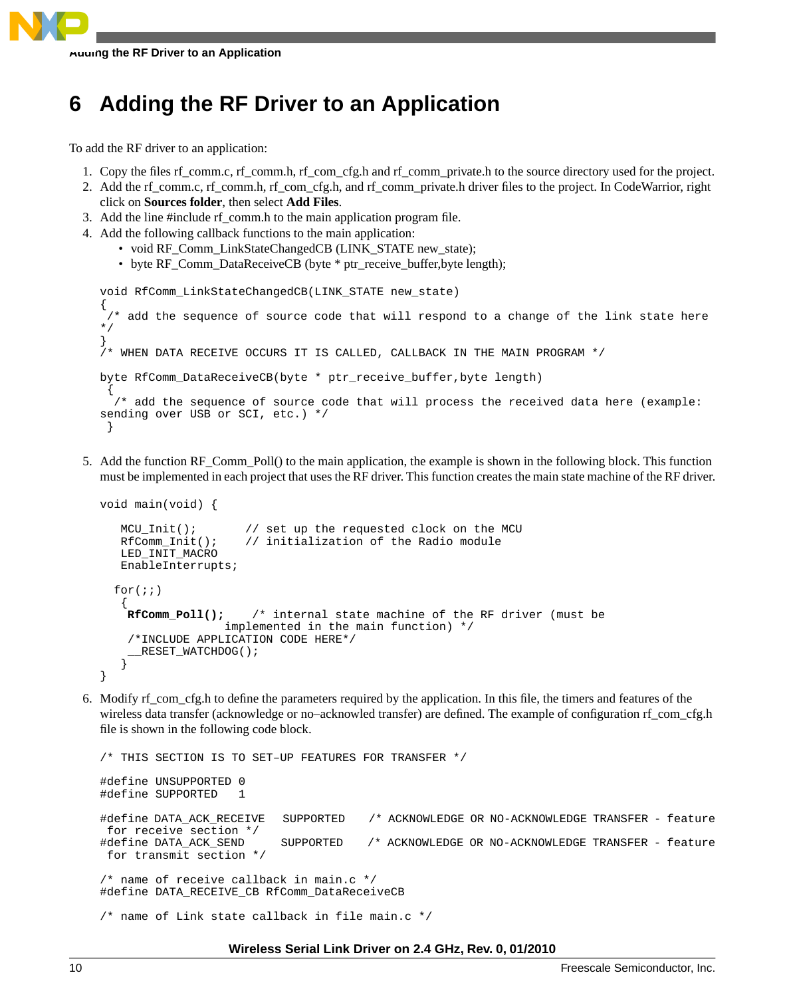

# <span id="page-9-0"></span>**6 Adding the RF Driver to an Application**

To add the RF driver to an application:

- 1. Copy the files rf comm.c, rf comm.h, rf com cfg.h and rf comm private.h to the source directory used for the project.
- 2. Add the rf\_comm.c, rf\_comm.h, rf\_com\_cfg.h, and rf\_comm\_private.h driver files to the project. In CodeWarrior, right click on **Sources folder**, then select **Add Files**.
- 3. Add the line #include rf\_comm.h to the main application program file.
- 4. Add the following callback functions to the main application:
	- void RF Comm\_LinkStateChangedCB (LINK\_STATE new\_state);
	- byte RF Comm\_DataReceiveCB (byte \* ptr\_receive\_buffer,byte length);

```
void RfComm_LinkStateChangedCB(LINK_STATE new_state)
{ 
  /* add the sequence of source code that will respond to a change of the link state here 
*/ 
}
/* WHEN DATA RECEIVE OCCURS IT IS CALLED, CALLBACK IN THE MAIN PROGRAM */
byte RfComm_DataReceiveCB(byte * ptr_receive_buffer,byte length)
 {
   /* add the sequence of source code that will process the received data here (example: 
sending over USB or SCI, etc.) */
  }
```
5. Add the function RF\_Comm\_Poll() to the main application, the example is shown in the following block. This function must be implemented in each project that uses the RF driver. This function creates the main state machine of the RF driver.

```
void main(void) {
   MCU_Init(); // set up the requested clock on the MCU
   RfComm_Init(); // initialization of the Radio module 
   LED_INIT_MACRO 
   EnableInterrupts;
  for(i;\{RfComm_Poll(); /* internal state machine of the RF driver (must be 
                  implemented in the main function) */
     /*INCLUDE APPLICATION CODE HERE*/
     RESET WATCHDOG();
 } 
}
```
6. Modify rf\_com\_cfg.h to define the parameters required by the application. In this file, the timers and features of the wireless data transfer (acknowledge or no–acknowled transfer) are defined. The example of configuration rf\_com\_cfg.h file is shown in the following code block.

```
/* THIS SECTION IS TO SET–UP FEATURES FOR TRANSFER */
#define UNSUPPORTED 0
#define SUPPORTED 1
#define DATA_ACK_RECEIVE SUPPORTED /* ACKNOWLEDGE OR NO-ACKNOWLEDGE TRANSFER - feature
 for receive section */
#define DATA_ACK_SEND SUPPORTED /* ACKNOWLEDGE OR NO-ACKNOWLEDGE TRANSFER - feature
 for transmit section */
/* name of receive callback in main.c */
#define DATA_RECEIVE_CB RfComm_DataReceiveCB 
/* name of Link state callback in file main.c */
```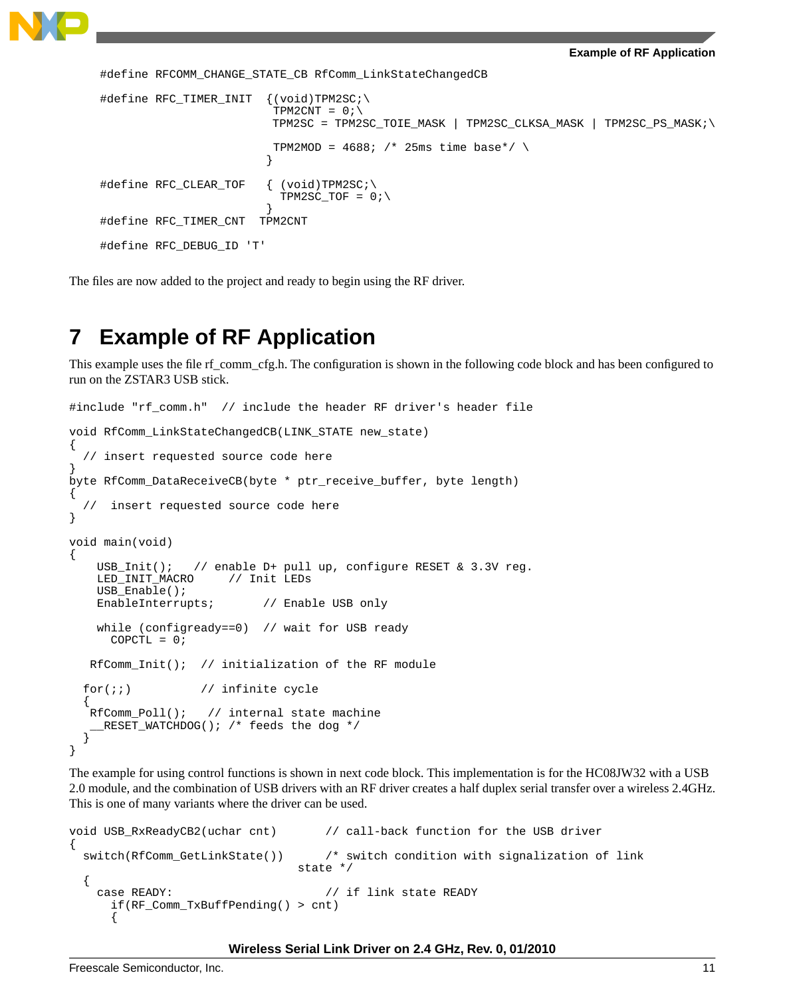```
#define RFCOMM_CHANGE_STATE_CB RfComm_LinkStateChangedCB 
#define RFC_TIMER_INIT {(void)TPM2SC;\
                      TPM2CNT = 0; \ TPM2SC = TPM2SC_TOIE_MASK | TPM2SC_CLKSA_MASK | TPM2SC_PS_MASK;\
                      TPM2MOD = 4688; /* 25ms time base*/ \
 }
#define RFC_CLEAR_TOF { (void)TPM2SC;\
                     TPM2SC_TOF = 0;\rangle }
#define RFC_TIMER_CNT TPM2CNT
#define RFC_DEBUG_ID 'T'
```
<span id="page-10-0"></span>The files are now added to the project and ready to begin using the RF driver.

# **7 Example of RF Application**

This example uses the file rf\_comm\_cfg.h. The configuration is shown in the following code block and has been configured to run on the ZSTAR3 USB stick.

```
#include "rf_comm.h" // include the header RF driver's header file
void RfComm_LinkStateChangedCB(LINK_STATE new_state)
{
   // insert requested source code here 
}
byte RfComm_DataReceiveCB(byte * ptr_receive_buffer, byte length)
{
     insert requested source code here
}
void main(void) 
{
     USB_Init(); // enable D+ pull up, configure RESET & 3.3V reg.
    LED_INIT_MACRO // Init LEDs
     USB_Enable();
   EnableInterrupts; // Enable USB only
   while (configready==0) // wait for USB ready
     COPCTL = 0; RfComm_Init(); // initialization of the RF module 
  for(i; j) // infinite cycle
 {
   RfComm_Poll(); // internal state machine
     __RESET_WATCHDOG(); /* feeds the dog */
\rightarrow}
```
The example for using control functions is shown in next code block. This implementation is for the HC08JW32 with a USB 2.0 module, and the combination of USB drivers with an RF driver creates a half duplex serial transfer over a wireless 2.4GHz. This is one of many variants where the driver can be used.

```
void USB_RxReadyCB2(uchar cnt) // call-back function for the USB driver
{
  switch(RfComm_GetLinkState()) /* switch condition with signalization of link 
                               state */ 
 {
    case READY: // if link state READY
      if(RF_Comm_TxBuffPending() > cnt)
      {
```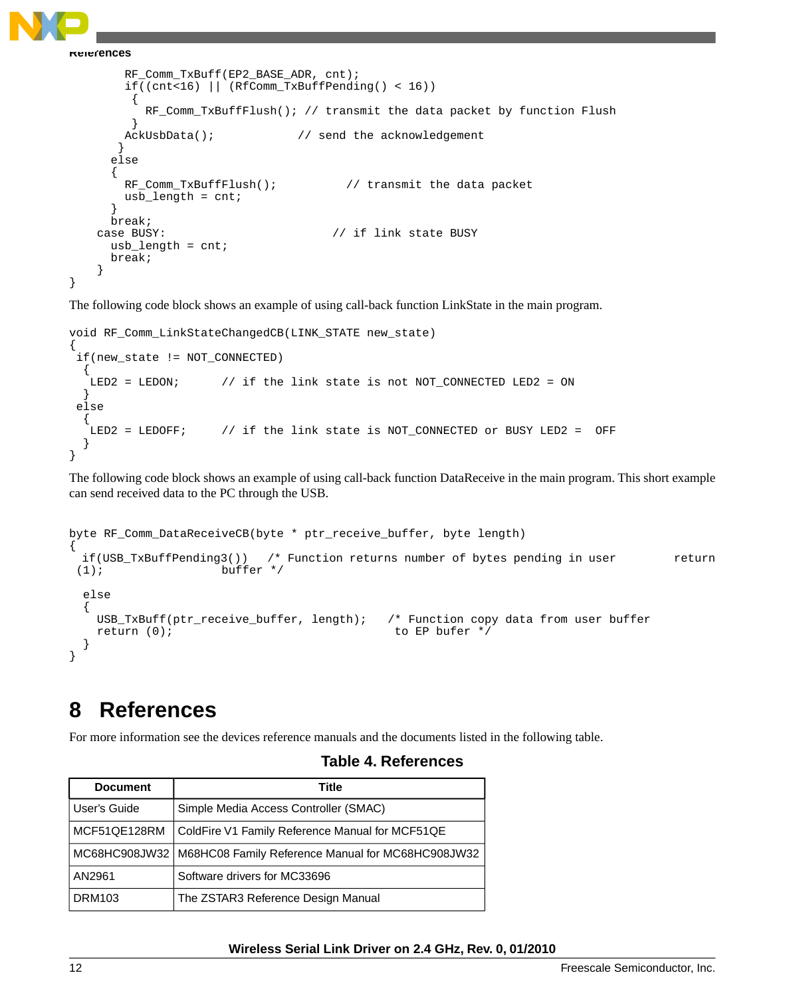**References**

```
 RF_Comm_TxBuff(EP2_BASE_ADR, cnt); 
        if((cnt<16) || (RfComm_TxBuffPending() < 16)) 
\{RF_Comm_TxBuffFlush(); // transmit the data packet by function Flush }
 }
       AckUsbData(); \frac{1}{2} // send the acknowledgement
 } 
      else
\{RF_Comm_TxBuffFlush(); \qquad // transmit the data packet
      usb length = cnt;
 }
      break;
    case BUSY: // if link state BUSY 
     usb length = cnt;
      break;
    }
}
```
The following code block shows an example of using call-back function LinkState in the main program.

```
void RF_Comm_LinkStateChangedCB(LINK_STATE new_state)
{
  if(new_state != NOT_CONNECTED)
 {
   LED2 = LEDON; \frac{1}{2} // if the link state is not NOT_CONNECTED LED2 = ON
 }
  else
   {
    LED2 = LEDOFF; // if the link state is NOT_CONNECTED or BUSY LED2 = OFF 
   }
}
```
The following code block shows an example of using call-back function DataReceive in the main program. This short example can send received data to the PC through the USB.

```
byte RF_Comm_DataReceiveCB(byte * ptr_receive_buffer, byte length)
{
  if(USB_TxBuffPending3()) /* Function returns number of bytes pending in user return
(1); buffer */ else
 {
    USB_TxBuff(ptr_receive_buffer, length); /* Function copy data from user buffer
   return (0); to EP bufer */
 }
}
```
# <span id="page-11-0"></span>**8 References**

For more information see the devices reference manuals and the documents listed in the following table.

#### **Table 4. References**

| <b>Document</b> | Title                                                             |
|-----------------|-------------------------------------------------------------------|
| User's Guide    | Simple Media Access Controller (SMAC)                             |
| MCF51QE128RM    | ColdFire V1 Family Reference Manual for MCF51QE                   |
|                 | MC68HC908JW32   M68HC08 Family Reference Manual for MC68HC908JW32 |
| AN2961          | Software drivers for MC33696                                      |
| <b>DRM103</b>   | The ZSTAR3 Reference Design Manual                                |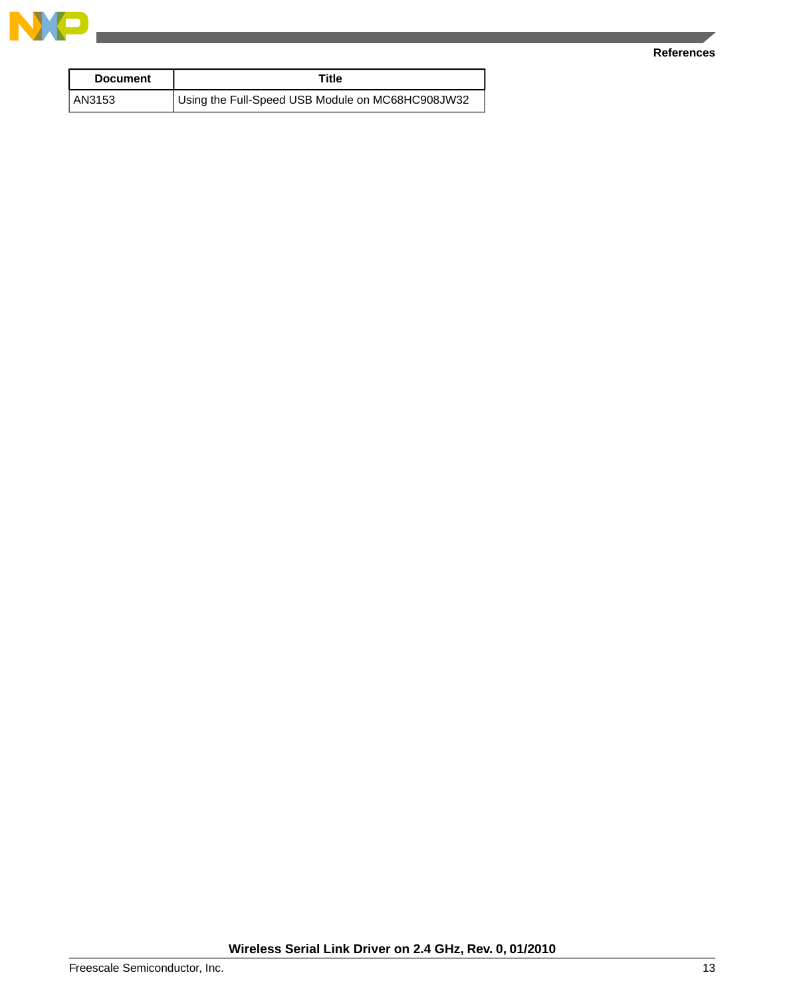

#### **References**

| <b>Document</b> | Title                                            |
|-----------------|--------------------------------------------------|
| AN3153          | Using the Full-Speed USB Module on MC68HC908JW32 |